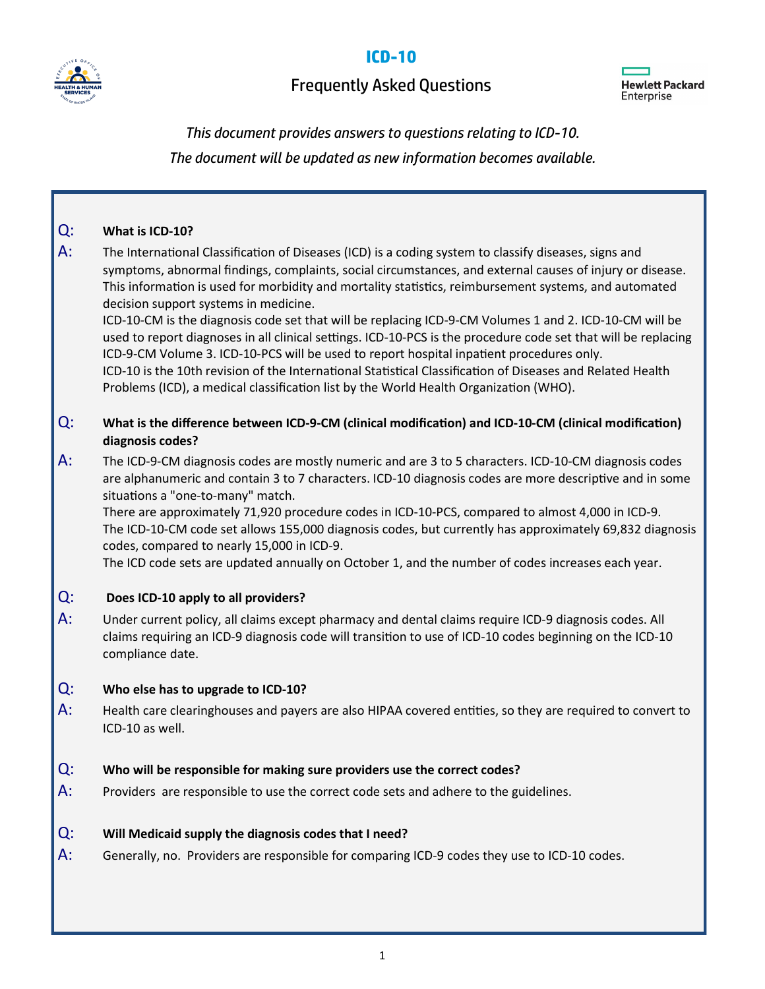



### Frequently Asked Questions



# *This document provides answers to questions relating to ICD-10.*

*The document will be updated as new information becomes available.*

## Q: **What is ICD-10?**  A: The International Classification of Diseases (ICD) is a coding system to classify diseases, signs and symptoms, abnormal findings, complaints, social circumstances, and external causes of injury or disease. This information is used for morbidity and mortality statistics, reimbursement systems, and automated decision support systems in medicine. ICD-10-CM is the diagnosis code set that will be replacing ICD-9-CM Volumes 1 and 2. ICD-10-CM will be used to report diagnoses in all clinical settings. ICD-10-PCS is the procedure code set that will be replacing ICD-9-CM Volume 3. ICD-10-PCS will be used to report hospital inpatient procedures only. ICD-10 is the 10th revision of the International Statistical Classification of Diseases and Related Health Problems (ICD), a medical classification list by the World Health Organization (WHO). Q: **What is the difference between ICD-9-CM (clinical modification) and ICD-10-CM (clinical modification) diagnosis codes?**  A: The ICD-9-CM diagnosis codes are mostly numeric and are 3 to 5 characters. ICD-10-CM diagnosis codes are alphanumeric and contain 3 to 7 characters. ICD-10 diagnosis codes are more descriptive and in some situations a "one-to-many" match. There are approximately 71,920 procedure codes in ICD-10-PCS, compared to almost 4,000 in ICD-9. The ICD-10-CM code set allows 155,000 diagnosis codes, but currently has approximately 69,832 diagnosis codes, compared to nearly 15,000 in ICD-9. The ICD code sets are updated annually on October 1, and the number of codes increases each year. Q: **Does ICD-10 apply to all providers?**  A: Under current policy, all claims except pharmacy and dental claims require ICD-9 diagnosis codes. All claims requiring an ICD-9 diagnosis code will transition to use of ICD-10 codes beginning on the ICD-10 compliance date. Q: **Who else has to upgrade to ICD-10?**  A: Health care clearinghouses and payers are also HIPAA covered entities, so they are required to convert to ICD-10 as well. Q: **Who will be responsible for making sure providers use the correct codes?**  A: Providers are responsible to use the correct code sets and adhere to the guidelines. Q: **Will Medicaid supply the diagnosis codes that I need?** A: Generally, no. Providers are responsible for comparing ICD-9 codes they use to ICD-10 codes.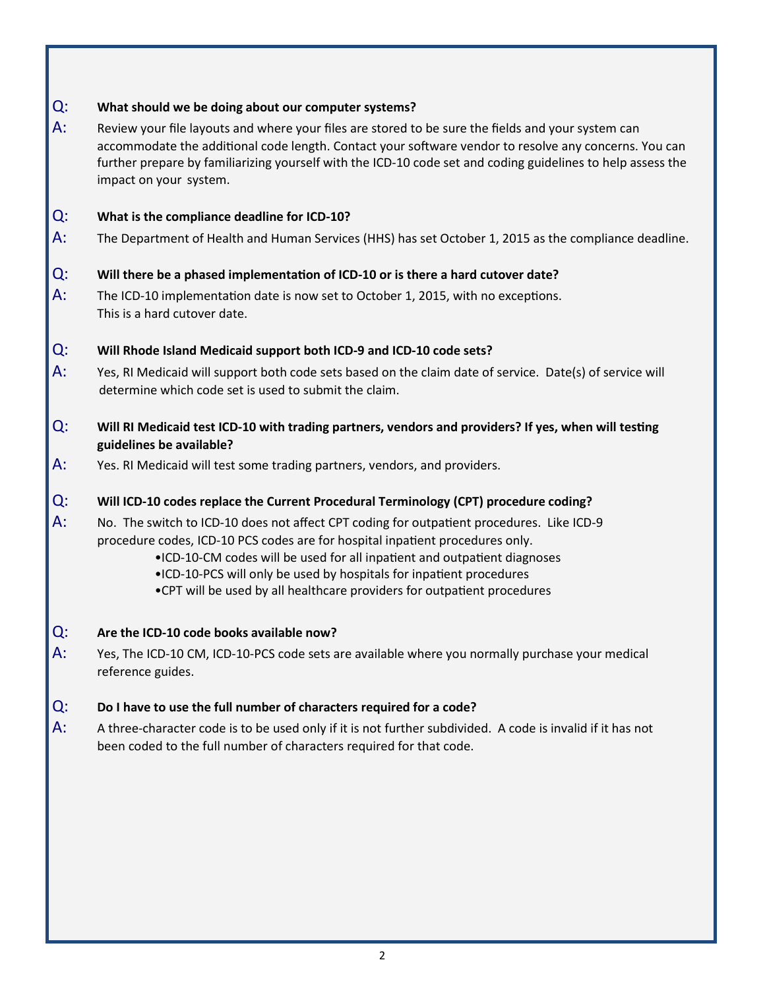#### Q: **What should we be doing about our computer systems?**

A: Review your file layouts and where your files are stored to be sure the fields and your system can accommodate the additional code length. Contact your software vendor to resolve any concerns. You can further prepare by familiarizing yourself with the ICD-10 code set and coding guidelines to help assess the impact on your system.

#### Q: **What is the compliance deadline for ICD-10?**

A: The Department of Health and Human Services (HHS) has set October 1, 2015 as the compliance deadline.

#### Q: **Will there be a phased implementation of ICD-10 or is there a hard cutover date?**

A: The ICD-10 implementation date is now set to October 1, 2015, with no exceptions. This is a hard cutover date.

#### Q: **Will Rhode Island Medicaid support both ICD-9 and ICD-10 code sets?**

- A: Yes, RI Medicaid will support both code sets based on the claim date of service. Date(s) of service will determine which code set is used to submit the claim.
- Q: **Will RI Medicaid test ICD-10 with trading partners, vendors and providers? If yes, when will testing guidelines be available?**
- A: Yes. RI Medicaid will test some trading partners, vendors, and providers.

#### Q: **Will ICD-10 codes replace the Current Procedural Terminology (CPT) procedure coding?**

- A: No. The switch to ICD-10 does not affect CPT coding for outpatient procedures. Like ICD-9 procedure codes, ICD-10 PCS codes are for hospital inpatient procedures only.
	- •ICD-10-CM codes will be used for all inpatient and outpatient diagnoses
	- •ICD-10-PCS will only be used by hospitals for inpatient procedures
	- •CPT will be used by all healthcare providers for outpatient procedures

#### Q: **Are the ICD-10 code books available now?**

A: Yes, The ICD-10 CM, ICD-10-PCS code sets are available where you normally purchase your medical reference guides.

#### Q: **Do I have to use the full number of characters required for a code?**

A: A three-character code is to be used only if it is not further subdivided. A code is invalid if it has not been coded to the full number of characters required for that code.